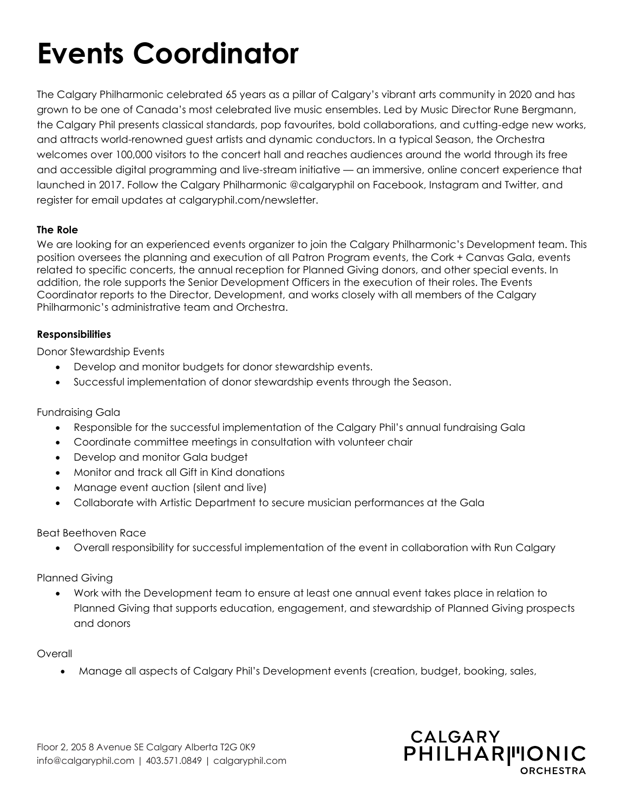# **Events Coordinator**

The Calgary Philharmonic celebrated 65 years as a pillar of Calgary's vibrant arts community in 2020 and has grown to be one of Canada's most celebrated live music ensembles. Led by Music Director Rune Bergmann, the Calgary Phil presents classical standards, pop favourites, bold collaborations, and cutting-edge new works, and attracts world-renowned guest artists and dynamic conductors. In a typical Season, the Orchestra welcomes over 100,000 visitors to the concert hall and reaches audiences around the world through its free and accessible digital programming and live-stream initiative — an immersive, online concert experience that launched in 2017. Follow the Calgary Philharmonic @calgaryphil on Facebook, Instagram and Twitter, and register for email updates at calgaryphil.com/newsletter.

# **The Role**

We are looking for an experienced events organizer to join the Calgary Philharmonic's Development team. This position oversees the planning and execution of all Patron Program events, the Cork + Canvas Gala, events related to specific concerts, the annual reception for Planned Giving donors, and other special events. In addition, the role supports the Senior Development Officers in the execution of their roles. The Events Coordinator reports to the Director, Development, and works closely with all members of the Calgary Philharmonic's administrative team and Orchestra.

### **Responsibilities**

Donor Stewardship Events

- Develop and monitor budgets for donor stewardship events.
- Successful implementation of donor stewardship events through the Season.

# Fundraising Gala

- Responsible for the successful implementation of the Calgary Phil's annual fundraising Gala
- Coordinate committee meetings in consultation with volunteer chair
- Develop and monitor Gala budget
- Monitor and track all Gift in Kind donations
- Manage event auction (silent and live)
- Collaborate with Artistic Department to secure musician performances at the Gala

# Beat Beethoven Race

• Overall responsibility for successful implementation of the event in collaboration with Run Calgary

# Planned Giving

• Work with the Development team to ensure at least one annual event takes place in relation to Planned Giving that supports education, engagement, and stewardship of Planned Giving prospects and donors

# Overall

• Manage all aspects of Calgary Phil's Development events (creation, budget, booking, sales,

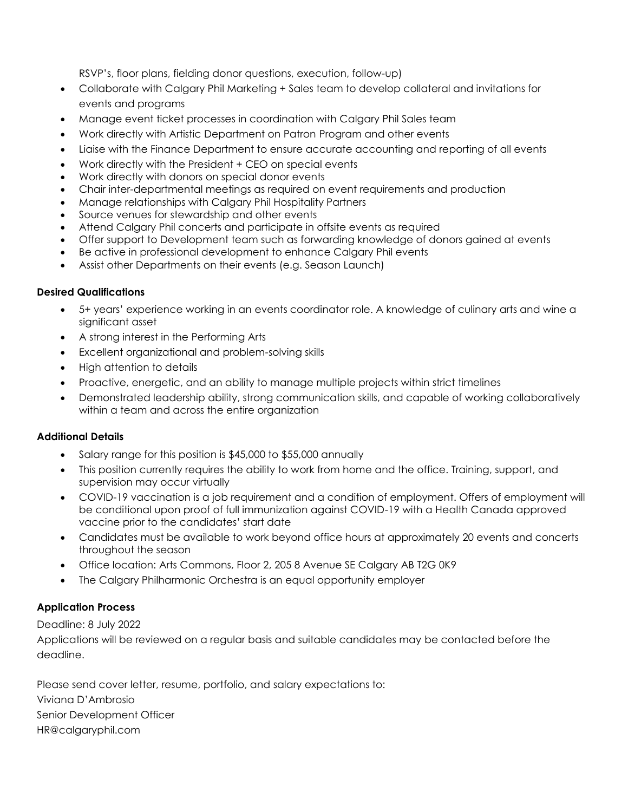RSVP's, floor plans, fielding donor questions, execution, follow-up)

- Collaborate with Calgary Phil Marketing + Sales team to develop collateral and invitations for events and programs
- Manage event ticket processes in coordination with Calgary Phil Sales team
- Work directly with Artistic Department on Patron Program and other events
- Liaise with the Finance Department to ensure accurate accounting and reporting of all events
- Work directly with the President + CEO on special events
- Work directly with donors on special donor events
- Chair inter-departmental meetings as required on event requirements and production
- Manage relationships with Calgary Phil Hospitality Partners
- Source venues for stewardship and other events
- Attend Calgary Phil concerts and participate in offsite events as required
- Offer support to Development team such as forwarding knowledge of donors gained at events
- Be active in professional development to enhance Calgary Phil events
- Assist other Departments on their events (e.g. Season Launch)

### **Desired Qualifications**

- 5+ years' experience working in an events coordinator role. A knowledge of culinary arts and wine a significant asset
- A strong interest in the Performing Arts
- Excellent organizational and problem-solving skills
- High attention to details
- Proactive, energetic, and an ability to manage multiple projects within strict timelines
- Demonstrated leadership ability, strong communication skills, and capable of working collaboratively within a team and across the entire organization

# **Additional Details**

- Salary range for this position is \$45,000 to \$55,000 annually
- This position currently requires the ability to work from home and the office. Training, support, and supervision may occur virtually
- COVID-19 vaccination is a job requirement and a condition of employment. Offers of employment will be conditional upon proof of full immunization against COVID-19 with a Health Canada approved vaccine prior to the candidates' start date
- Candidates must be available to work beyond office hours at approximately 20 events and concerts throughout the season
- Office location: Arts Commons, Floor 2, 205 8 Avenue SE Calgary AB T2G 0K9
- The Calgary Philharmonic Orchestra is an equal opportunity employer

# **Application Process**

# Deadline: 8 July 2022

Applications will be reviewed on a regular basis and suitable candidates may be contacted before the deadline.

Please send cover letter, resume, portfolio, and salary expectations to: Viviana D'Ambrosio Senior Development Officer HR@calgaryphil.com